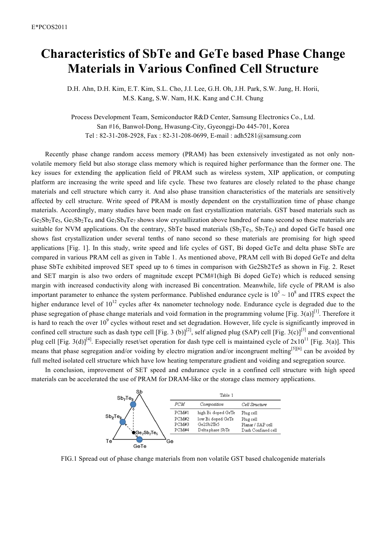## **Characteristics of SbTe and GeTe based Phase Change Materials in Various Confined Cell Structure**

D.H. Ahn, D.H. Kim, E.T. Kim, S.L. Cho, J.I. Lee, G.H. Oh, J.H. Park, S.W. Jung, H. Horii, M.S. Kang, S.W. Nam, H.K. Kang and C.H. Chung

Process Development Team, Semiconductor R&D Center, Samsung Electronics Co., Ltd. San #16, Banwol-Dong, Hwasung-City, Gyeonggi-Do 445-701, Korea Tel : 82-31-208-2928, Fax : 82-31-208-0699, E-mail : adh5281@samsung.com

Recently phase change random access memory (PRAM) has been extensively investigated as not only nonvolatile memory field but also storage class memory which is required higher performance than the former one. The key issues for extending the application field of PRAM such as wireless system, XIP application, or computing platform are increasing the write speed and life cycle. These two features are closely related to the phase change materials and cell structure which carry it. And also phase transition characteristics of the materials are sensitively affected by cell structure. Write speed of PRAM is mostly dependent on the crystallization time of phase change materials. Accordingly, many studies have been made on fast crystallization materials. GST based materials such as  $Ge_2Sb_2Te_5$ ,  $Ge_1Sb_2Te_4$  and  $Ge_1Sb_4Te_7$  shows slow crystallization above hundred of nano second so these materials are suitable for NVM applications. On the contrary, SbTe based materials  $(Sb_2Te_3, Sb_7Te_3)$  and doped GeTe based one shows fast crystallization under several tenths of nano second so these materials are promising for high speed applications [Fig. 1]. In this study, write speed and life cycles of GST, Bi doped GeTe and delta phase SbTe are compared in various PRAM cell as given in Table 1. As mentioned above, PRAM cell with Bi doped GeTe and delta phase SbTe exhibited improved SET speed up to 6 times in comparison with Ge2Sb2Te5 as shown in Fig. 2. Reset and SET margin is also two orders of magnitude except PCM#1(high Bi doped GeTe) which is reduced sensing margin with increased conductivity along with increased Bi concentration. Meanwhile, life cycle of PRAM is also important parameter to enhance the system performance. Published endurance cycle is  $10^5 \sim 10^8$  and ITRS expect the higher endurance level of  $10^{12}$  cycles after 4x nanometer technology node. Endurance cycle is degraded due to the phase segregation of phase change materials and void formation in the programming volume [Fig. 3(a)]<sup>[1]</sup>. Therefore it is hard to reach the over  $10^9$  cycles without reset and set degradation. However, life cycle is significantly improved in confined cell structure such as dash type cell [Fig. 3 (b)]<sup>[2]</sup>, self aligned plug (SAP) cell [Fig. 3(c)]<sup>[3]</sup> and conventional plug cell [Fig. 3(d)]<sup>[4]</sup>. Especially reset/set operation for dash type cell is maintained cycle of  $2x10^{11}$  [Fig. 3(a)]. This means that phase segregation and/or voiding by electro migration and/or incongruent melting<sup>[5][6]</sup> can be avoided by full melted isolated cell structure which have low heating temperature gradient and voiding and segregation source.

In conclusion, improvement of SET speed and endurance cycle in a confined cell structure with high speed materials can be accelerated the use of PRAM for DRAM-like or the storage class memory applications.



FIG.1 Spread out of phase change materials from non volatile GST based chalcogenide materials